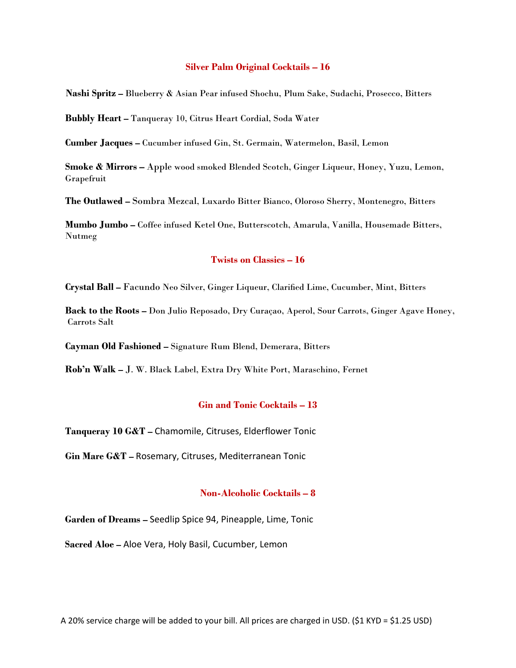#### **Silver Palm Original Cocktails – 16**

**Nashi Spritz –** Blueberry & Asian Pear infused Shochu, Plum Sake, Sudachi, Prosecco, Bitters

**Bubbly Heart –** Tanqueray 10, Citrus Heart Cordial, Soda Water

**Cumber Jacques –** Cucumber infused Gin, St. Germain, Watermelon, Basil, Lemon

**Smoke & Mirrors –** Apple wood smoked Blended Scotch, Ginger Liqueur, Honey, Yuzu, Lemon, Grapefruit

**The Outlawed –** Sombra Mezcal, Luxardo Bitter Bianco, Oloroso Sherry, Montenegro, Bitters

**Mumbo Jumbo –** Coffee infused Ketel One, Butterscotch, Amarula, Vanilla, Housemade Bitters, Nutmeg

#### **Twists on Classics – 16**

**Crystal Ball –** Facundo Neo Silver, Ginger Liqueur, Clarified Lime, Cucumber, Mint, Bitters

**Back to the Roots –** Don Julio Reposado, Dry Curaçao, Aperol, Sour Carrots, Ginger Agave Honey, Carrots Salt

**Cayman Old Fashioned –** Signature Rum Blend, Demerara, Bitters

**Rob'n Walk –** J. W. Black Label, Extra Dry White Port, Maraschino, Fernet

#### **Gin and Tonic Cocktails – 13**

**Tanqueray 10 G&T –** Chamomile, Citruses, Elderflower Tonic

**Gin Mare G&T –** Rosemary, Citruses, Mediterranean Tonic

#### **Non-Alcoholic Cocktails – 8**

**Garden of Dreams –** Seedlip Spice 94, Pineapple, Lime, Tonic

**Sacred Aloe –** Aloe Vera, Holy Basil, Cucumber, Lemon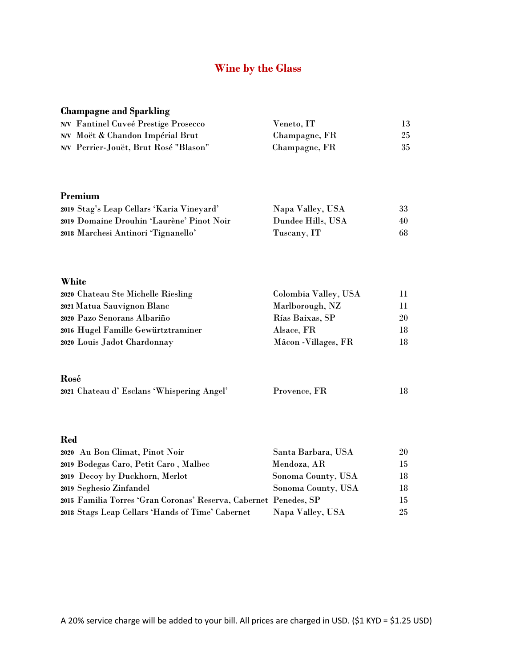# **Wine by the Glass**

| <b>Champagne and Sparkling</b>                                   |                      |    |
|------------------------------------------------------------------|----------------------|----|
| <b>N/V</b> Fantinel Cuveé Prestige Prosecco                      | Veneto, IT           | 13 |
| N/V Moët & Chandon Impérial Brut                                 | Champagne, FR        | 25 |
| N/V Perrier-Jouët, Brut Rosé "Blason"                            | Champagne, FR        | 35 |
| Premium                                                          |                      |    |
| 2019 Stag's Leap Cellars 'Karia Vineyard'                        | Napa Valley, USA     | 33 |
| 2019 Domaine Drouhin 'Laurène' Pinot Noir                        | Dundee Hills, USA    | 40 |
| 2018 Marchesi Antinori 'Tignanello'                              | Tuscany, IT          | 68 |
| White                                                            |                      |    |
| 2020 Chateau Ste Michelle Riesling                               | Colombia Valley, USA | 11 |
| 2021 Matua Sauvignon Blanc                                       | Marlborough, NZ      | 11 |
| 2020 Pazo Senorans Albariño                                      | Rías Baixas, SP      | 20 |
| 2016 Hugel Famille Gewürtztraminer                               | Alsace, FR           | 18 |
| 2020 Louis Jadot Chardonnay                                      | Mâcon - Villages, FR | 18 |
| Rosé                                                             |                      |    |
| 2021 Chateau d' Esclans 'Whispering Angel'                       | Provence, FR         | 18 |
|                                                                  |                      |    |
| <b>Red</b>                                                       |                      |    |
| 2020 Au Bon Climat, Pinot Noir                                   | Santa Barbara, USA   | 20 |
| 2019 Bodegas Caro, Petit Caro, Malbec                            | Mendoza, AR          | 15 |
| 2019 Decoy by Duckhorn, Merlot                                   | Sonoma County, USA   | 18 |
| 2019 Seghesio Zinfandel                                          | Sonoma County, USA   | 18 |
| 2015 Familia Torres 'Gran Coronas' Reserva, Cabernet Penedes, SP |                      | 15 |
| 2018 Stags Leap Cellars 'Hands of Time' Cabernet                 | Napa Valley, USA     | 25 |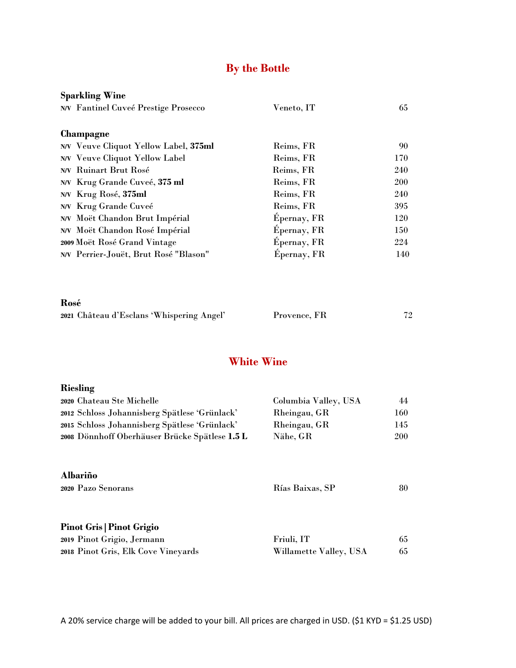# **By the Bottle**

| Veneto, IT  | 65         |
|-------------|------------|
|             |            |
|             |            |
| Reims, FR   | 90         |
| Reims, FR   | 170        |
| Reims, FR   | 240        |
| Reims, FR   | <b>200</b> |
| Reims, FR   | 240        |
| Reims, FR   | 395        |
| Épernay, FR | 120        |
| Épernay, FR | 150        |
| Epernay, FR | 224        |
| Epernay, FR | 140        |
|             |            |

**Rosé**

|  |  | 2021 Château d'Esclans 'Whispering Angel' | Provence, FR | 72 |
|--|--|-------------------------------------------|--------------|----|
|--|--|-------------------------------------------|--------------|----|

## **White Wine**

| Riesling                                       |                        |            |
|------------------------------------------------|------------------------|------------|
| 2020 Chateau Ste Michelle                      | Columbia Valley, USA   | 44         |
| 2012 Schloss Johannisberg Spätlese 'Grünlack'  | Rheingau, GR           | 160        |
| 2015 Schloss Johannisberg Spätlese 'Grünlack'  | Rheingau, GR           | 145        |
| 2008 Dönnhoff Oberhäuser Brücke Spätlese 1.5 L | Nähe, GR               | <b>200</b> |
| <b>Albariño</b><br>2020 Pazo Senorans          | Rías Baixas, SP        | 80         |
| <b>Pinot Gris   Pinot Grigio</b>               |                        |            |
| 2019 Pinot Grigio, Jermann                     | Friuli, IT             | 65         |
| 2018 Pinot Gris, Elk Cove Vineyards            | Willamette Valley, USA | 65         |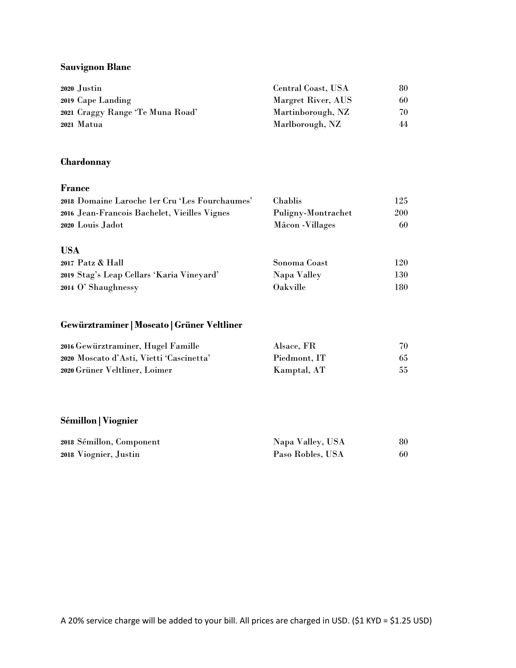### **Sauvignon Blanc**

| 2020 Justin                      | Central Coast, USA | 80 |
|----------------------------------|--------------------|----|
| 2019 Cape Landing                | Margret River, AUS | 60 |
| 2021 Craggy Range 'Te Muna Road' | Martinborough, NZ  | 70 |
| 2021 Matua                       | Marlborough, NZ    | 44 |

### **Chardonnay**

#### **France**

| 2018 Domaine Laroche 1er Cru 'Les Fourchaumes' | Chablis            | 125 |
|------------------------------------------------|--------------------|-----|
| 2016 Jean-Francois Bachelet, Vieilles Vignes   | Puligny-Montrachet | 200 |
| 2020 Louis Jadot                               | Mâcon - Villages   | 60  |
|                                                |                    |     |
| <b>USA</b>                                     |                    |     |
| 2017 Patz & Hall                               | Sonoma Coast       | 120 |
| 2019 Stag's Leap Cellars 'Karia Vineyard'      | Napa Valley        | 130 |
| 2014 O' Shaughnessy                            | Oakville           | 180 |

## **Gewürztraminer|Moscato|Grüner Veltliner**

| 2016 Gewürztraminer, Hugel Famille       | Alsace, FR   | 70 |
|------------------------------------------|--------------|----|
| 2020 Moscato d'Asti, Vietti 'Cascinetta' | Piedmont, IT | 65 |
| 2020 Grüner Veltliner, Loimer            | Kamptal, AT  | 55 |

## **Sémillon|Viognier**

| 2018 Sémillon, Component | Napa Valley, USA | 80 |
|--------------------------|------------------|----|
| 2018 Viognier, Justin    | Paso Robles, USA | 60 |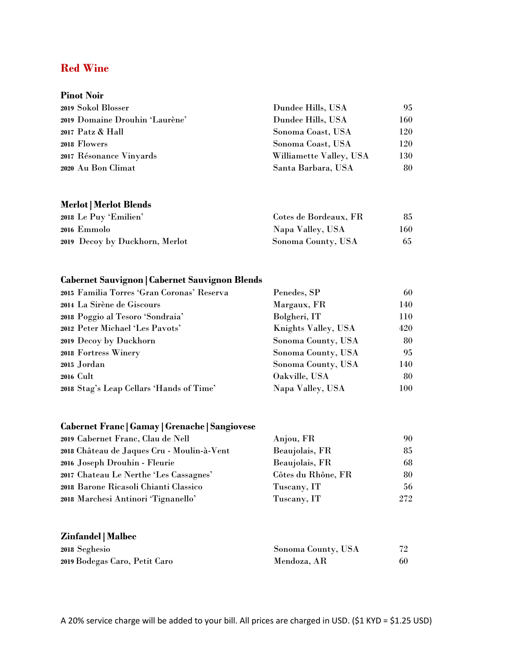## **Red Wine**

| <b>Pinot Noir</b>              |                         |     |
|--------------------------------|-------------------------|-----|
| 2019 Sokol Blosser             | Dundee Hills, USA       | 95  |
| 2019 Domaine Drouhin 'Laurène' | Dundee Hills, USA       | 160 |
| 2017 Patz & Hall               | Sonoma Coast, USA       | 120 |
| 2018 Flowers                   | Sonoma Coast, USA       | 120 |
| 2017 Résonance Vinyards        | Williamette Valley, USA | 130 |
| 2020 Au Bon Climat             | Santa Barbara, USA      | 80  |

## **Merlot|Merlot Blends**

| 2018 Le Puy 'Emilien'          | Cotes de Bordeaux, FR | 85   |
|--------------------------------|-----------------------|------|
| 2016 Emmolo                    | Napa Valley, USA      | 160- |
| 2019 Decoy by Duckhorn, Merlot | Sonoma County, USA    | 65   |

## **Cabernet Sauvignon|Cabernet Sauvignon Blends**

| 2015 Familia Torres 'Gran Coronas' Reserva | Penedes, SP         | 60  |
|--------------------------------------------|---------------------|-----|
| 2014 La Sirène de Giscours                 | Margaux, FR         | 140 |
| 2018 Poggio al Tesoro 'Sondraia'           | Bolgheri, IT        | 110 |
| 2012 Peter Michael 'Les Pavots'            | Knights Valley, USA | 420 |
| 2019 Decoy by Duckhorn                     | Sonoma County, USA  | 80  |
| 2018 Fortress Winery                       | Sonoma County, USA  | 95  |
| 2015 Jordan                                | Sonoma County, USA  | 140 |
| 2016 Cult                                  | Oakville, USA       | 80  |
| 2018 Stag's Leap Cellars 'Hands of Time'   | Napa Valley, USA    | 100 |
|                                            |                     |     |

## **Cabernet Franc|Gamay|Grenache|Sangiovese**

| 2019 Cabernet Franc, Clau de Nell          | Anjou, FR          | 90  |
|--------------------------------------------|--------------------|-----|
| 2018 Château de Jaques Cru - Moulin-à-Vent | Beaujolais, FR     | 85  |
| 2016 Joseph Drouhin - Fleurie              | Beaujolais, FR     | 68  |
| 2017 Chateau Le Nerthe 'Les Cassagnes'     | Côtes du Rhône, FR | 80  |
| 2018 Barone Ricasoli Chianti Classico      | Tuscany, IT        | 56  |
| 2018 Marchesi Antinori 'Tignanello'        | Tuscany, IT        | 272 |
| <b>Zinfandel</b>   Malbec                  |                    |     |
| 2018 Seghesio                              | Sonoma County, USA | 72  |

| 2018 Segnesio                 | Sonoma County, USA |  |
|-------------------------------|--------------------|--|
| 2019 Bodegas Caro, Petit Caro | Mendoza, AR        |  |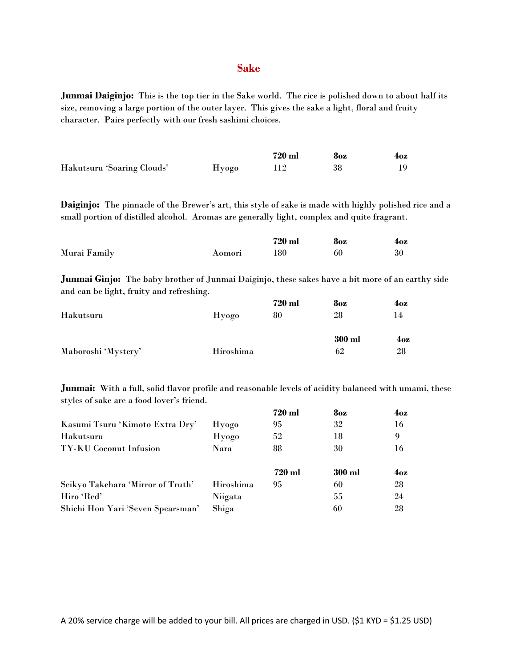#### **Sake**

**Junmai Daiginjo:** This is the top tier in the Sake world. The rice is polished down to about half its size, removing a large portion of the outer layer. This gives the sake a light, floral and fruity character. Pairs perfectly with our fresh sashimi choices.

|                            |       | 720 ml | 8oz | 4oz |
|----------------------------|-------|--------|-----|-----|
| Hakutsuru 'Soaring Clouds' | Hyogo |        | 38  | 19  |

**Daiginjo:** The pinnacle of the Brewer's art, this style of sake is made with highly polished rice and a small portion of distilled alcohol. Aromas are generally light, complex and quite fragrant.

|              |        | 720 ml | 8oz | 4oz |
|--------------|--------|--------|-----|-----|
| Murai Family | Aomori | 180    | 60  | 30  |

**Junmai Ginjo:** The baby brother of Junmai Daiginjo, these sakes have a bit more of an earthy side and can be light, fruity and refreshing.

|                     |           | 720 ml | 8oz    | 4oz             |
|---------------------|-----------|--------|--------|-----------------|
| Hakutsuru           | Hyogo     | 80     | 28     | 14              |
|                     |           |        | 300 ml | 4 <sub>oz</sub> |
| Maboroshi 'Mystery' | Hiroshima |        | 62     | 28              |

**Junmai:** With a full, solid flavor profile and reasonable levels of acidity balanced with umami, these styles of sake are a food lover's friend.

|                                   |           | 720 ml | 8oz    | 4oz |
|-----------------------------------|-----------|--------|--------|-----|
| Kasumi Tsuru 'Kimoto Extra Dry'   | Hyogo     | 95     | 32     | 16  |
| Hakutsuru                         | Hyogo     | 52     | 18     | 9   |
| TY-KU Coconut Infusion            | Nara      | 88     | 30     | 16  |
|                                   |           |        |        |     |
|                                   |           | 720 ml | 300 ml | 4oz |
| Seikyo Takehara 'Mirror of Truth' | Hiroshima | 95     | 60     | 28  |
| Hiro 'Red'                        | Niigata   |        | 55     | 24  |
| Shichi Hon Yari 'Seven Spearsman' | Shiga     |        | 60     | 28  |